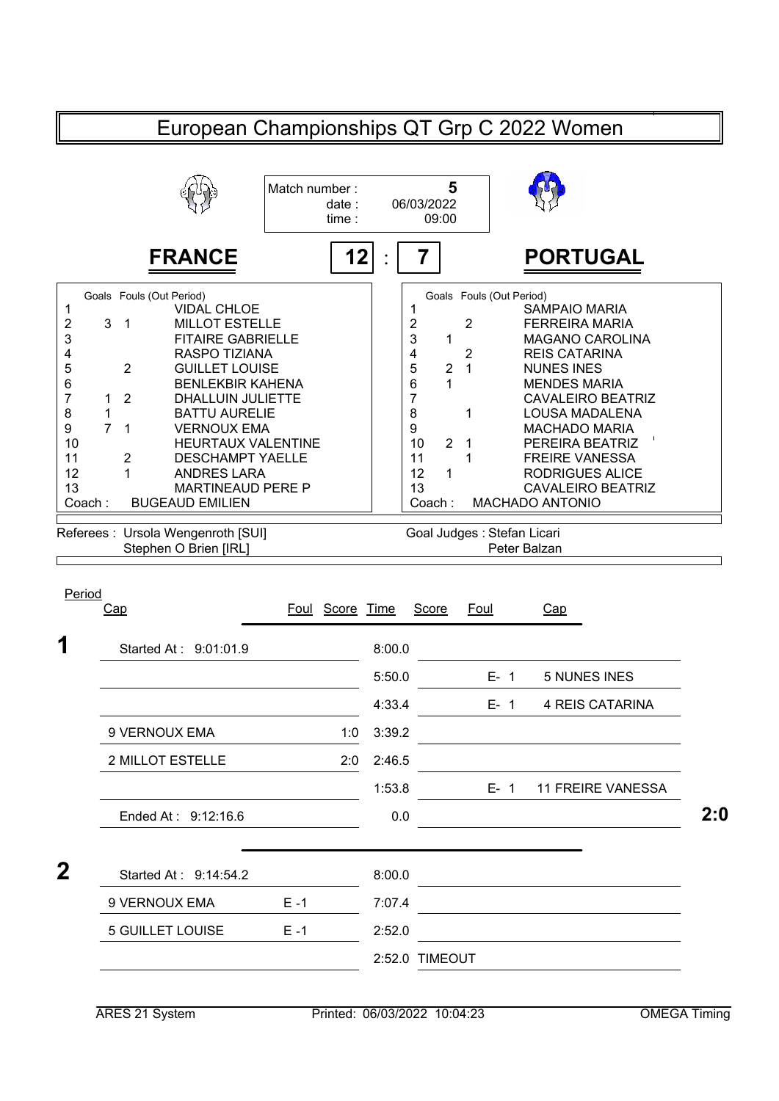|                                                                             | European Championships QT Grp C 2022 Women                                                                                                                                                                                                                                                                                                                                                                                                                                                                                                                            |                                 |                  |                                                                                                                                                               |                                                                                             |         |                                                                                                                                                                                                                                                                                                                                                                      |     |
|-----------------------------------------------------------------------------|-----------------------------------------------------------------------------------------------------------------------------------------------------------------------------------------------------------------------------------------------------------------------------------------------------------------------------------------------------------------------------------------------------------------------------------------------------------------------------------------------------------------------------------------------------------------------|---------------------------------|------------------|---------------------------------------------------------------------------------------------------------------------------------------------------------------|---------------------------------------------------------------------------------------------|---------|----------------------------------------------------------------------------------------------------------------------------------------------------------------------------------------------------------------------------------------------------------------------------------------------------------------------------------------------------------------------|-----|
|                                                                             |                                                                                                                                                                                                                                                                                                                                                                                                                                                                                                                                                                       | Match number:<br>date:<br>time: |                  | 06/03/2022<br>09:00                                                                                                                                           | 5                                                                                           |         |                                                                                                                                                                                                                                                                                                                                                                      |     |
|                                                                             | <b>FRANCE</b>                                                                                                                                                                                                                                                                                                                                                                                                                                                                                                                                                         | 12                              |                  |                                                                                                                                                               |                                                                                             |         | <b>PORTUGAL</b>                                                                                                                                                                                                                                                                                                                                                      |     |
| 1<br>2<br>3<br>4<br>5<br>6<br>7<br>8<br>9<br>10<br>11<br>12<br>13<br>Coach: | Goals Fouls (Out Period)<br><b>VIDAL CHLOE</b><br>3<br>$\mathbf{1}$<br><b>MILLOT ESTELLE</b><br><b>FITAIRE GABRIELLE</b><br><b>RASPO TIZIANA</b><br>$\overline{2}$<br><b>GUILLET LOUISE</b><br><b>BENLEKBIR KAHENA</b><br>$\overline{2}$<br>DHALLUIN JULIETTE<br>1<br>1<br><b>BATTU AURELIE</b><br>$\overline{7}$<br><b>VERNOUX EMA</b><br>1<br><b>HEURTAUX VALENTINE</b><br>$\overline{c}$<br><b>DESCHAMPT YAELLE</b><br>1<br><b>ANDRES LARA</b><br><b>MARTINEAUD PERE P</b><br><b>BUGEAUD EMILIEN</b><br>Referees: Ursola Wengenroth [SUI]<br>Stephen O Brien [IRL] |                                 |                  | 1<br>2<br>3<br>1<br>4<br>5<br>$\overline{2}$<br>6<br>1<br>7<br>8<br>9<br>10<br>$\overline{2}$<br>11<br>12<br>1<br>13<br>Coach:<br>Goal Judges : Stefan Licari | Goals Fouls (Out Period)<br>$\overline{2}$<br>$\overline{2}$<br>$\mathbf{1}$<br>1<br>1<br>1 |         | <b>SAMPAIO MARIA</b><br><b>FERREIRA MARIA</b><br><b>MAGANO CAROLINA</b><br><b>REIS CATARINA</b><br><b>NUNES INES</b><br><b>MENDES MARIA</b><br><b>CAVALEIRO BEATRIZ</b><br><b>LOUSA MADALENA</b><br><b>MACHADO MARIA</b><br>PEREIRA BEATRIZ<br><b>FREIRE VANESSA</b><br><b>RODRIGUES ALICE</b><br><b>CAVALEIRO BEATRIZ</b><br><b>MACHADO ANTONIO</b><br>Peter Balzan |     |
| Period                                                                      | Cap                                                                                                                                                                                                                                                                                                                                                                                                                                                                                                                                                                   | Foul Score Time                 |                  | <b>Score</b>                                                                                                                                                  | <b>Foul</b>                                                                                 |         | Cap                                                                                                                                                                                                                                                                                                                                                                  |     |
| 1                                                                           | Started At: 9:01:01.9                                                                                                                                                                                                                                                                                                                                                                                                                                                                                                                                                 |                                 | 8:00.0<br>5:50.0 |                                                                                                                                                               |                                                                                             | $E - 1$ | <b>5 NUNES INES</b>                                                                                                                                                                                                                                                                                                                                                  |     |
|                                                                             |                                                                                                                                                                                                                                                                                                                                                                                                                                                                                                                                                                       |                                 | 4:33.4           |                                                                                                                                                               |                                                                                             | E- 1    | 4 REIS CATARINA                                                                                                                                                                                                                                                                                                                                                      |     |
|                                                                             | 9 VERNOUX EMA                                                                                                                                                                                                                                                                                                                                                                                                                                                                                                                                                         | 1:0                             | 3:39.2           |                                                                                                                                                               |                                                                                             |         |                                                                                                                                                                                                                                                                                                                                                                      |     |
|                                                                             | 2 MILLOT ESTELLE                                                                                                                                                                                                                                                                                                                                                                                                                                                                                                                                                      | 2:0                             | 2:46.5           |                                                                                                                                                               |                                                                                             |         |                                                                                                                                                                                                                                                                                                                                                                      |     |
|                                                                             |                                                                                                                                                                                                                                                                                                                                                                                                                                                                                                                                                                       |                                 | 1:53.8           |                                                                                                                                                               |                                                                                             | $E - 1$ | <b>11 FREIRE VANESSA</b>                                                                                                                                                                                                                                                                                                                                             |     |
|                                                                             | Ended At: 9:12:16.6                                                                                                                                                                                                                                                                                                                                                                                                                                                                                                                                                   |                                 | 0.0              |                                                                                                                                                               |                                                                                             |         | and the control of the control of the                                                                                                                                                                                                                                                                                                                                | 2:0 |
| $\mathbf{2}$                                                                | Started At: 9:14:54.2                                                                                                                                                                                                                                                                                                                                                                                                                                                                                                                                                 |                                 | 8:00.0           |                                                                                                                                                               |                                                                                             |         |                                                                                                                                                                                                                                                                                                                                                                      |     |
|                                                                             | 9 VERNOUX EMA                                                                                                                                                                                                                                                                                                                                                                                                                                                                                                                                                         | $E - 1$                         | 7:07.4           |                                                                                                                                                               |                                                                                             |         |                                                                                                                                                                                                                                                                                                                                                                      |     |
|                                                                             | <b>5 GUILLET LOUISE</b>                                                                                                                                                                                                                                                                                                                                                                                                                                                                                                                                               | $E - 1$                         | 2:52.0           |                                                                                                                                                               |                                                                                             |         |                                                                                                                                                                                                                                                                                                                                                                      |     |
|                                                                             |                                                                                                                                                                                                                                                                                                                                                                                                                                                                                                                                                                       |                                 |                  | 2:52.0 TIMEOUT                                                                                                                                                |                                                                                             |         |                                                                                                                                                                                                                                                                                                                                                                      |     |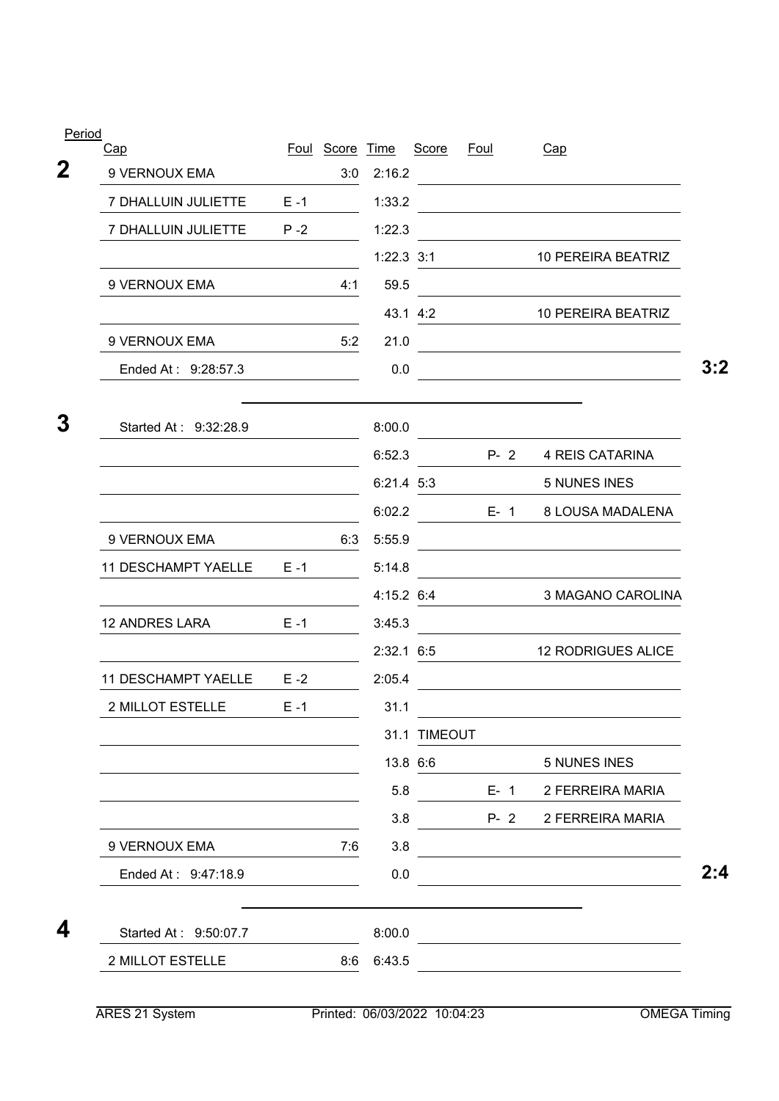| Cap                                                                        |         | Foul Score Time |              | Score        | <u>Foul</u> | Cap                                                                                                                   |
|----------------------------------------------------------------------------|---------|-----------------|--------------|--------------|-------------|-----------------------------------------------------------------------------------------------------------------------|
| 9 VERNOUX EMA                                                              |         | 3:0             | 2:16.2       |              |             |                                                                                                                       |
| 7 DHALLUIN JULIETTE                                                        | $E - 1$ |                 | 1:33.2       |              |             | <u> 1989 - Johann Barbara, martin amerikan basar dan berasal dan berasal dalam basar dalam basar dalam basar dala</u> |
| 7 DHALLUIN JULIETTE                                                        | $P - 2$ |                 | 1:22.3       |              |             |                                                                                                                       |
|                                                                            |         |                 | $1:22.3$ 3:1 |              |             | 10 PEREIRA BEATRIZ                                                                                                    |
| 9 VERNOUX EMA                                                              |         | 4:1             | 59.5         |              |             |                                                                                                                       |
|                                                                            |         |                 |              | 43.1 4:2     |             | 10 PEREIRA BEATRIZ                                                                                                    |
| 9 VERNOUX EMA                                                              |         | 5:2             | 21.0         |              |             | <u> 1989 - Johann Barn, mars eta bainar eta baina eta baina eta baina eta baina eta baina eta baina eta baina e</u>   |
| Ended At: 9:28:57.3                                                        |         |                 | 0.0          |              |             |                                                                                                                       |
| Started At: 9:32:28.9                                                      |         |                 | 8:00.0       |              |             |                                                                                                                       |
|                                                                            |         |                 | 6:52.3       |              | $P - 2$     | <b>4 REIS CATARINA</b>                                                                                                |
|                                                                            |         |                 | 6:21.4 5:3   |              |             | <b>5 NUNES INES</b>                                                                                                   |
|                                                                            |         |                 | 6:02.2       |              | $E - 1$     | 8 LOUSA MADALENA                                                                                                      |
| 9 VERNOUX EMA                                                              |         | 6:3             | 5:55.9       |              |             |                                                                                                                       |
| <b>11 DESCHAMPT YAELLE</b>                                                 | $E - 1$ |                 | 5:14.8       |              |             |                                                                                                                       |
|                                                                            |         |                 | 4:15.2 6:4   |              |             | 3 MAGANO CAROLINA                                                                                                     |
| <b>12 ANDRES LARA</b>                                                      | $E - 1$ |                 | 3:45.3       |              |             |                                                                                                                       |
|                                                                            |         |                 | $2:32.1$ 6:5 |              |             | <b>12 RODRIGUES ALICE</b>                                                                                             |
| <b>11 DESCHAMPT YAELLE</b>                                                 | $E - 2$ |                 | 2:05.4       |              |             |                                                                                                                       |
| 2 MILLOT ESTELLE                                                           | $E - 1$ |                 | 31.1         |              |             |                                                                                                                       |
|                                                                            |         |                 |              | 31.1 TIMEOUT |             |                                                                                                                       |
|                                                                            |         |                 |              |              | 13.8 6:6    | 5 NUNES INES                                                                                                          |
| the control of the control of the control of the control of the control of |         |                 | 5.8          |              |             | E- 1 2 FERREIRA MARIA                                                                                                 |
|                                                                            |         |                 | 3.8          |              |             | P-2 2 FERREIRA MARIA                                                                                                  |
| 9 VERNOUX EMA                                                              |         | 7:6             | 3.8          |              |             | <u> 1989 - Johann Stoff, Amerikaansk politiker (</u>                                                                  |
| Ended At: 9:47:18.9                                                        |         |                 | 0.0          |              |             |                                                                                                                       |
| Started At: 9:50:07.7                                                      |         |                 | 8:00.0       |              |             | <u> 1989 - Johann Barn, mars eta bainar eta bainar eta baina eta baina eta baina eta baina eta baina eta baina e</u>  |
| 2 MILLOT ESTELLE                                                           |         |                 | 8:6 6:43.5   |              |             |                                                                                                                       |